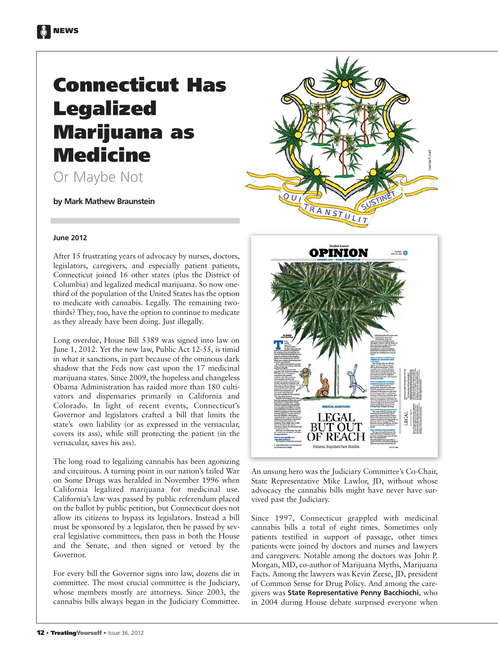# **Connecticut Has Legalized Marijuana as Medicine**

Or Maybe Not

**by Mark Mathew Braunstein**



After 15 frustrating years of advocacy by nurses, doctors, legislators, caregivers, and especially patient patients, Connecticut joined 16 other states (plus the District of Columbia) and legalized medical marijuana. So now onethird of the population of the United States has the option to medicate with cannabis. Legally. The remaining twothirds? They, too, have the option to continue to medicate as they already have been doing. Just illegally.

Long overdue, House Bill 5389 was signed into law on June 1, 2012. Yet the new law, Public Act 12-55, is timid in what it sanctions, in part because of the ominous dark shadow that the Feds now cast upon the 17 medicinal marijuana states. Since 2009, the hopeless and changeless Obama Administration has raided more than 180 cultivators and dispensaries primarily in California and Colorado. In light of recent events, Connecticut's Governor and legislators crafted a bill that limits the state's own liability (or as expressed in the vernacular, covers its ass), while still protecting the patient (in the vernacular, saves his ass).

The long road to legalizing cannabis has been agonizing and circuitous. A turning point in our nation's failed War on Some Drugs was heralded in November 1996 when California legalized marijuana for medicinal use. California's law was passed by public referendum placed on the ballot by public petition, but Connecticut does not allow its citizens to bypass its legislators. Instead a bill must be sponsored by a legislator, then be passed by several legislative committees, then pass in both the House and the Senate, and then signed or vetoed by the Governor.

For every bill the Governor signs into law, dozens die in committee. The most crucial committee is the Judiciary, whose members mostly are attorneys. Since 2003, the cannabis bills always began in the Judiciary Committee.





An unsung hero was the Judiciary Committee's Co-Chair, State Representative Mike Lawlor, JD, without whose advocacy the cannabis bills might have never have survived past the Judiciary.

Since 1997, Connecticut grappled with medicinal cannabis bills a total of eight times. Sometimes only patients testified in support of passage, other times patients were joined by doctors and nurses and lawyers and caregivers. Notable among the doctors was John P. Morgan, MD, co-author of Marijuana Myths, Marijuana Facts. Among the lawyers was Kevin Zeese, JD, president of Common Sense for Drug Policy. And among the caregivers was **State Representative Penny Bacchiochi**, who in 2004 during House debate surprised everyone when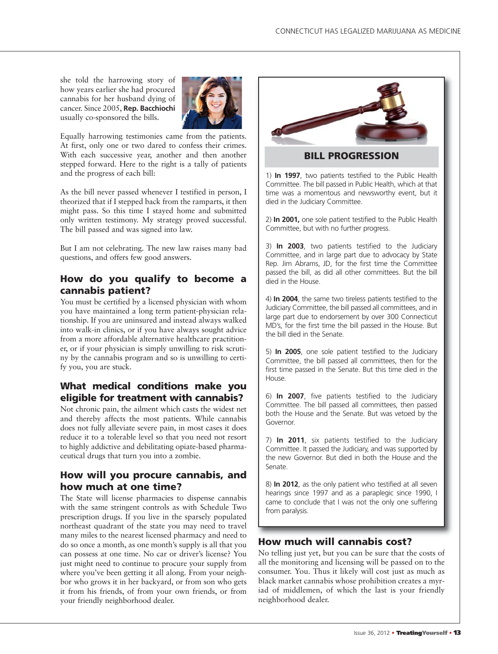she told the harrowing story of how years earlier she had procured cannabis for her husband dying of cancer. Since 2005, **Rep. Bacchiochi** usually co-sponsored the bills.



Equally harrowing testimonies came from the patients. At first, only one or two dared to confess their crimes. With each successive year, another and then another stepped forward. Here to the right is a tally of patients and the progress of each bill:

As the bill never passed whenever I testified in person, I theorized that if I stepped back from the ramparts, it then might pass. So this time I stayed home and submitted only written testimony. My strategy proved successful. The bill passed and was signed into law.

But I am not celebrating. The new law raises many bad questions, and offers few good answers.

# **How do you qualify to become a cannabis patient?**

You must be certified by a licensed physician with whom you have maintained a long term patient-physician relationship. If you are uninsured and instead always walked into walk-in clinics, or if you have always sought advice from a more affordable alternative healthcare practitioner, or if your physician is simply unwilling to risk scrutiny by the cannabis program and so is unwilling to certify you, you are stuck.

# **What medical conditions make you eligible for treatment with cannabis?**

Not chronic pain, the ailment which casts the widest net and thereby affects the most patients. While cannabis does not fully alleviate severe pain, in most cases it does reduce it to a tolerable level so that you need not resort to highly addictive and debilitating opiate-based pharmaceutical drugs that turn you into a zombie.

### **How will you procure cannabis, and how much at one time?**

The State will license pharmacies to dispense cannabis with the same stringent controls as with Schedule Two prescription drugs. If you live in the sparsely populated northeast quadrant of the state you may need to travel many miles to the nearest licensed pharmacy and need to do so once a month, as one month's supply is all that you can possess at one time. No car or driver's license? You just might need to continue to procure your supply from where you've been getting it all along. From your neighbor who grows it in her backyard, or from son who gets it from his friends, of from your own friends, or from your friendly neighborhood dealer.



**BILL PROGRESSION**

1) **In 1997**, two patients testified to the Public Health Committee. The bill passed in Public Health, which at that time was a momentous and newsworthy event, but it died in the Judiciary Committee.

2) **In 2001,** one sole patient testified to the Public Health Committee, but with no further progress.

3) **In 2003**, two patients testified to the Judiciary Committee, and in large part due to advocacy by State Rep. Jim Abrams, JD, for the first time the Committee passed the bill, as did all other committees. But the bill died in the House.

4) **In 2004**, the same two tireless patients testified to the Judiciary Committee, the bill passed all committees, and in large part due to endorsement by over 300 Connecticut MD's, for the first time the bill passed in the House. But the bill died in the Senate.

5) **In 2005**, one sole patient testified to the Judiciary Committee, the bill passed all committees, then for the first time passed in the Senate. But this time died in the House.

6) **In 2007**, five patients testified to the Judiciary Committee. The bill passed all committees, then passed both the House and the Senate. But was vetoed by the Governor.

7) **In 2011**, six patients testified to the Judiciary Committee. It passed the Judiciary, and was supported by the new Governor. But died in both the House and the Senate.

8) **In 2012**, as the only patient who testified at all seven hearings since 1997 and as a paraplegic since 1990, I came to conclude that I was not the only one suffering from paralysis.

# **How much will cannabis cost?**

No telling just yet, but you can be sure that the costs of all the monitoring and licensing will be passed on to the consumer. You. Thus it likely will cost just as much as black market cannabis whose prohibition creates a myriad of middlemen, of which the last is your friendly neighborhood dealer.